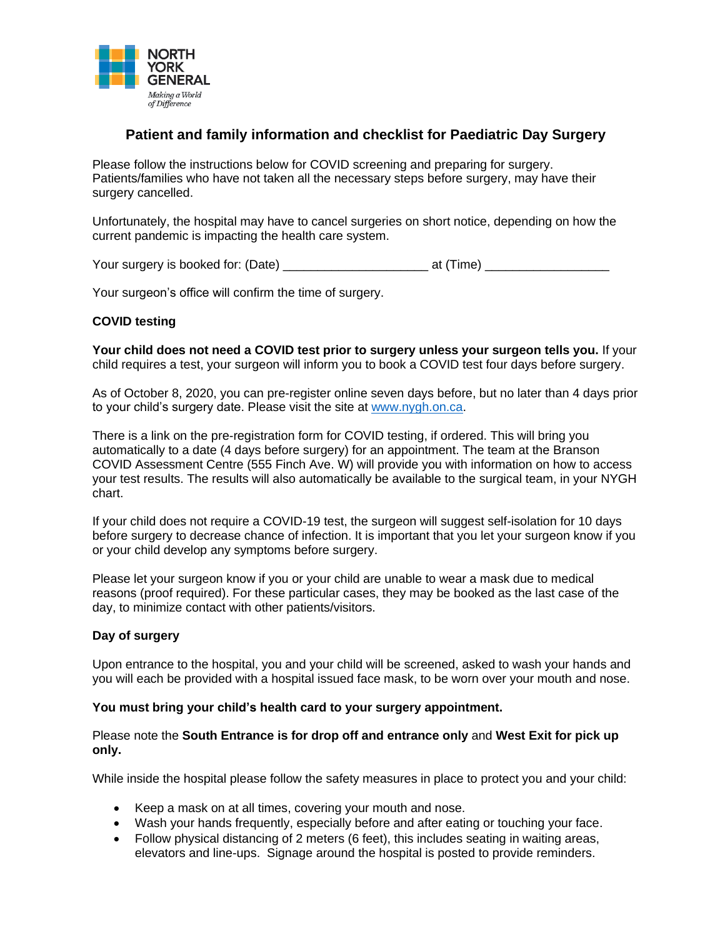

# **Patient and family information and checklist for Paediatric Day Surgery**

Please follow the instructions below for COVID screening and preparing for surgery. Patients/families who have not taken all the necessary steps before surgery, may have their surgery cancelled.

Unfortunately, the hospital may have to cancel surgeries on short notice, depending on how the current pandemic is impacting the health care system.

Your surgery is booked for: (Date) \_\_\_\_\_\_\_\_\_\_\_\_\_\_\_\_\_\_\_\_\_ at (Time) \_\_\_\_\_\_\_\_\_\_\_\_\_\_\_\_\_\_

Your surgeon's office will confirm the time of surgery.

# **COVID testing**

**Your child does not need a COVID test prior to surgery unless your surgeon tells you.** If your child requires a test, your surgeon will inform you to book a COVID test four days before surgery.

As of October 8, 2020, you can pre-register online seven days before, but no later than 4 days prior to your child's surgery date. Please visit the site at [www.nygh.on.ca.](http://www.nygh.on.ca/)

There is a link on the pre-registration form for COVID testing, if ordered. This will bring you automatically to a date (4 days before surgery) for an appointment. The team at the Branson COVID Assessment Centre (555 Finch Ave. W) will provide you with information on how to access your test results. The results will also automatically be available to the surgical team, in your NYGH chart.

If your child does not require a COVID-19 test, the surgeon will suggest self-isolation for 10 days before surgery to decrease chance of infection. It is important that you let your surgeon know if you or your child develop any symptoms before surgery.

Please let your surgeon know if you or your child are unable to wear a mask due to medical reasons (proof required). For these particular cases, they may be booked as the last case of the day, to minimize contact with other patients/visitors.

## **Day of surgery**

Upon entrance to the hospital, you and your child will be screened, asked to wash your hands and you will each be provided with a hospital issued face mask, to be worn over your mouth and nose.

## **You must bring your child's health card to your surgery appointment.**

Please note the **South Entrance is for drop off and entrance only** and **West Exit for pick up only.**

While inside the hospital please follow the safety measures in place to protect you and your child:

- Keep a mask on at all times, covering your mouth and nose.
- Wash your hands frequently, especially before and after eating or touching your face.
- Follow physical distancing of 2 meters (6 feet), this includes seating in waiting areas, elevators and line-ups. Signage around the hospital is posted to provide reminders.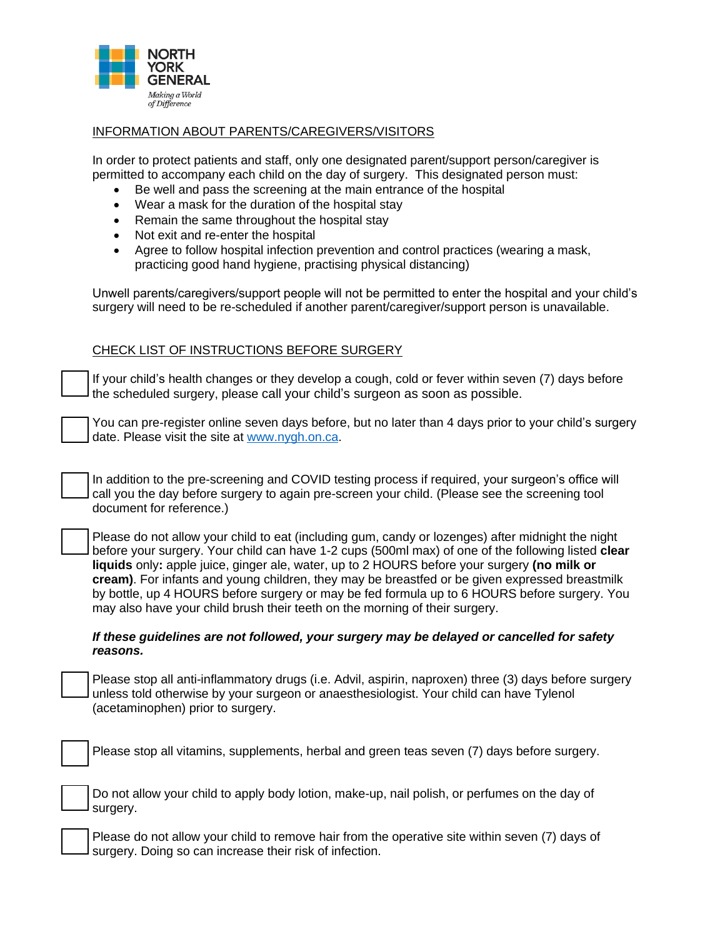

#### INFORMATION ABOUT PARENTS/CAREGIVERS/VISITORS

In order to protect patients and staff, only one designated parent/support person/caregiver is permitted to accompany each child on the day of surgery. This designated person must:

- Be well and pass the screening at the main entrance of the hospital
- Wear a mask for the duration of the hospital stay
- Remain the same throughout the hospital stay
- Not exit and re-enter the hospital
- Agree to follow hospital infection prevention and control practices (wearing a mask, practicing good hand hygiene, practising physical distancing)

Unwell parents/caregivers/support people will not be permitted to enter the hospital and your child's surgery will need to be re-scheduled if another parent/caregiver/support person is unavailable.

#### CHECK LIST OF INSTRUCTIONS BEFORE SURGERY

If your child's health changes or they develop a cough, cold or fever within seven (7) days before the scheduled surgery, please call your child's surgeon as soon as possible.

You can pre-register online seven days before, but no later than 4 days prior to your child's surgery date. Please visit the site at [www.nygh.on.ca.](http://www.nygh.on.ca/)

In addition to the pre-screening and COVID testing process if required, your surgeon's office will call you the day before surgery to again pre-screen your child. (Please see the screening tool document for reference.)

Please do not allow your child to eat (including gum, candy or lozenges) after midnight the night before your surgery. Your child can have 1-2 cups (500ml max) of one of the following listed **clear liquids** only**:** apple juice, ginger ale, water, up to 2 HOURS before your surgery **(no milk or cream)**. For infants and young children, they may be breastfed or be given expressed breastmilk by bottle, up 4 HOURS before surgery or may be fed formula up to 6 HOURS before surgery. You may also have your child brush their teeth on the morning of their surgery.

#### *If these guidelines are not followed, your surgery may be delayed or cancelled for safety reasons.*

Please stop all anti-inflammatory drugs (i.e. Advil, aspirin, naproxen) three (3) days before surgery unless told otherwise by your surgeon or anaesthesiologist. Your child can have Tylenol (acetaminophen) prior to surgery.

Please stop all vitamins, supplements, herbal and green teas seven (7) days before surgery.

Do not allow your child to apply body lotion, make-up, nail polish, or perfumes on the day of surgery.

Please do not allow your child to remove hair from the operative site within seven (7) days of surgery. Doing so can increase their risk of infection.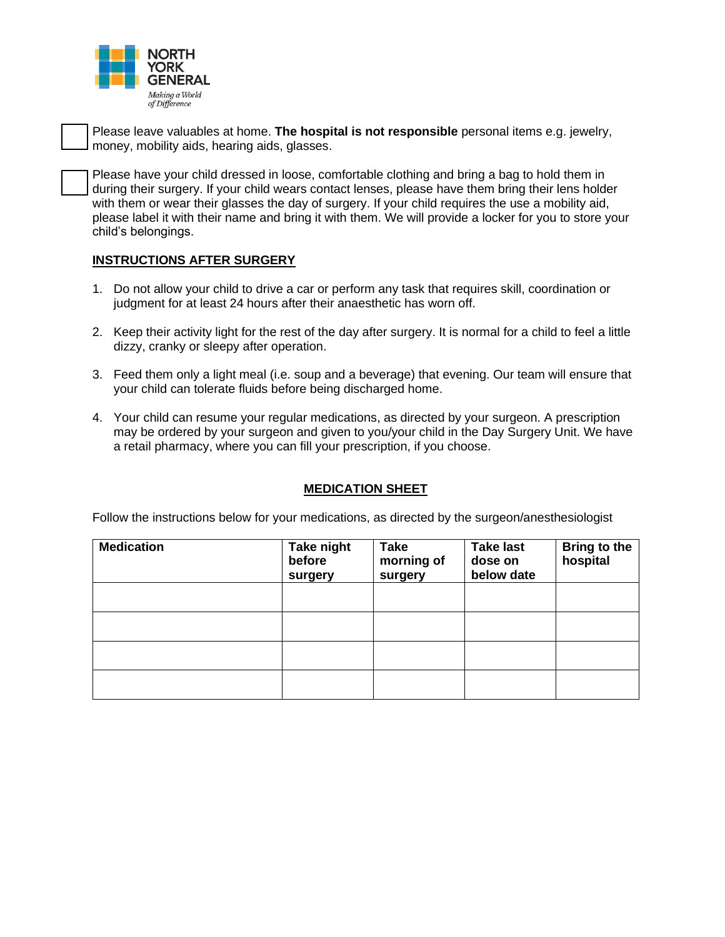

Please leave valuables at home. **The hospital is not responsible** personal items e.g. jewelry, money, mobility aids, hearing aids, glasses.

Please have your child dressed in loose, comfortable clothing and bring a bag to hold them in during their surgery. If your child wears contact lenses, please have them bring their lens holder with them or wear their glasses the day of surgery. If your child requires the use a mobility aid, please label it with their name and bring it with them. We will provide a locker for you to store your child's belongings.

# **INSTRUCTIONS AFTER SURGERY**

- 1. Do not allow your child to drive a car or perform any task that requires skill, coordination or judgment for at least 24 hours after their anaesthetic has worn off.
- 2. Keep their activity light for the rest of the day after surgery. It is normal for a child to feel a little dizzy, cranky or sleepy after operation.
- 3. Feed them only a light meal (i.e. soup and a beverage) that evening. Our team will ensure that your child can tolerate fluids before being discharged home.
- 4. Your child can resume your regular medications, as directed by your surgeon. A prescription may be ordered by your surgeon and given to you/your child in the Day Surgery Unit. We have a retail pharmacy, where you can fill your prescription, if you choose.

## **MEDICATION SHEET**

Follow the instructions below for your medications, as directed by the surgeon/anesthesiologist

| <b>Medication</b> | Take night<br>before<br>surgery | <b>Take</b><br>morning of<br>surgery | <b>Take last</b><br>dose on<br>below date | <b>Bring to the</b><br>hospital |
|-------------------|---------------------------------|--------------------------------------|-------------------------------------------|---------------------------------|
|                   |                                 |                                      |                                           |                                 |
|                   |                                 |                                      |                                           |                                 |
|                   |                                 |                                      |                                           |                                 |
|                   |                                 |                                      |                                           |                                 |